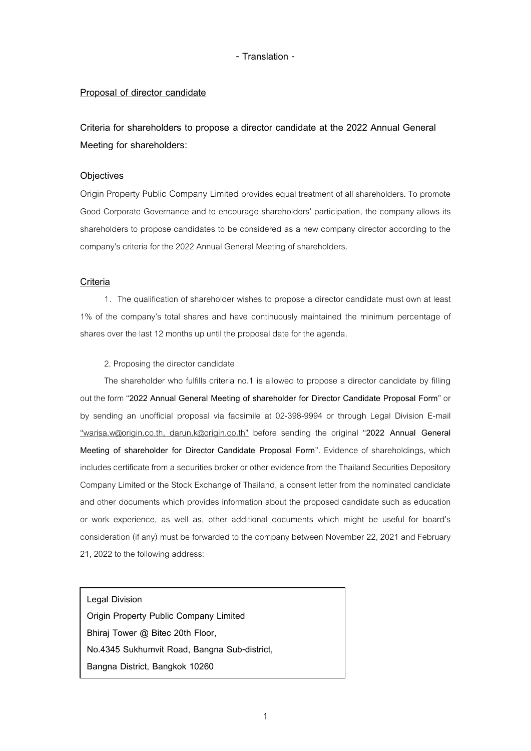### **Proposal of director candidate**

**Criteria for shareholders to propose a director candidate at the 2022 Annual General Meeting for shareholders:**

#### **Objectives**

Origin Property Public Company Limited provides equal treatment of all shareholders. To promote Good Corporate Governance and to encourage shareholders' participation, the company allows its shareholders to propose candidates to be considered as a new company director according to the company's criteria for the 2022 Annual General Meeting of shareholders.

#### **Criteria**

1. The qualification of shareholder wishes to propose a director candidate must own at least 1% of the company's total shares and have continuously maintained the minimum percentage of shares over the last 12 months up until the proposal date for the agenda.

#### 2. Proposing the director candidate

The shareholder who fulfills criteria no.1 is allowed to propose a director candidate by filling out the form "**2022 Annual General Meeting of shareholder for Director Candidate Proposal Form**" or by sending an unofficial proposal via facsimile at 02-398-9994 or through Legal Division E-mail "warisa.w@origin.co.th, darun.k@origin.co.th" before sending the original "**2022 Annual General Meeting of shareholder for Director Candidate Proposal Form**". Evidence of shareholdings, which includes certificate from a securities broker or other evidence from the Thailand Securities Depository Company Limited or the Stock Exchange of Thailand, a consent letter from the nominated candidate and other documents which provides information about the proposed candidate such as education or work experience, as well as, other additional documents which might be useful for board's consideration (if any) must be forwarded to the company between November 22, 2021 and February 21, 2022 to the following address:

**Legal Division**

**Origin Property Public Company Limited Bhiraj Tower @ Bitec 20th Floor, No.4345 Sukhumvit Road, Bangna Sub-district, Bangna District, Bangkok 10260**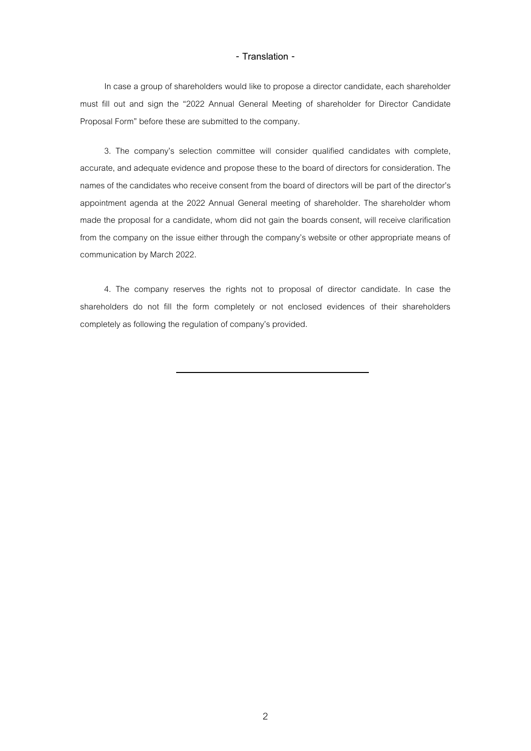In case a group of shareholders would like to propose a director candidate, each shareholder must fill out and sign the "2022 Annual General Meeting of shareholder for Director Candidate Proposal Form" before these are submitted to the company.

3. The company's selection committee will consider qualified candidates with complete, accurate, and adequate evidence and propose these to the board of directors for consideration. The names of the candidates who receive consent from the board of directors will be part of the director's appointment agenda at the 2022 Annual General meeting of shareholder. The shareholder whom made the proposal for a candidate, whom did not gain the boards consent, will receive clarification from the company on the issue either through the company's website or other appropriate means of communication by March 2022.

4. The company reserves the rights not to proposal of director candidate. In case the shareholders do not fill the form completely or not enclosed evidences of their shareholders completely as following the regulation of company's provided.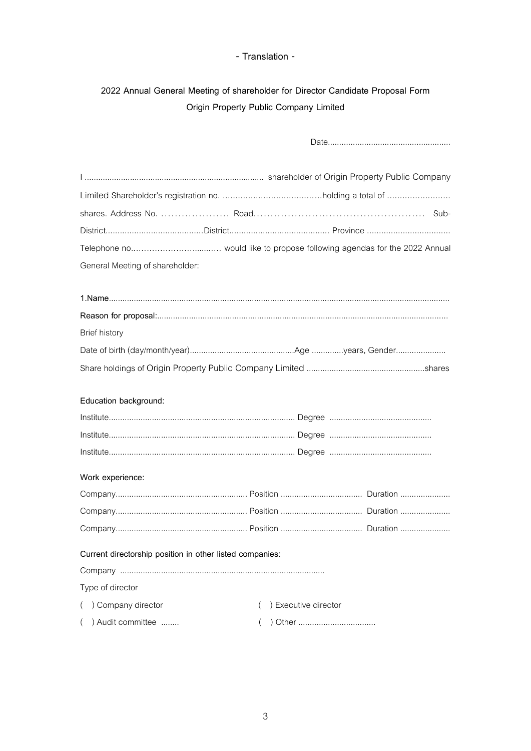# 2022 Annual General Meeting of shareholder for Director Candidate Proposal Form Origin Property Public Company Limited

| General Meeting of shareholder:                          |                                  |  |  |  |
|----------------------------------------------------------|----------------------------------|--|--|--|
|                                                          |                                  |  |  |  |
|                                                          |                                  |  |  |  |
|                                                          |                                  |  |  |  |
| <b>Brief history</b>                                     |                                  |  |  |  |
|                                                          |                                  |  |  |  |
|                                                          |                                  |  |  |  |
|                                                          |                                  |  |  |  |
| Education background:                                    |                                  |  |  |  |
|                                                          |                                  |  |  |  |
|                                                          |                                  |  |  |  |
|                                                          |                                  |  |  |  |
| Work experience:                                         |                                  |  |  |  |
|                                                          |                                  |  |  |  |
|                                                          |                                  |  |  |  |
|                                                          |                                  |  |  |  |
| Current directorship position in other listed companies: |                                  |  |  |  |
|                                                          |                                  |  |  |  |
| Type of director                                         |                                  |  |  |  |
| ( ) Company director                                     | ) Executive director<br>$\left($ |  |  |  |
| () Audit committee                                       | $\left($                         |  |  |  |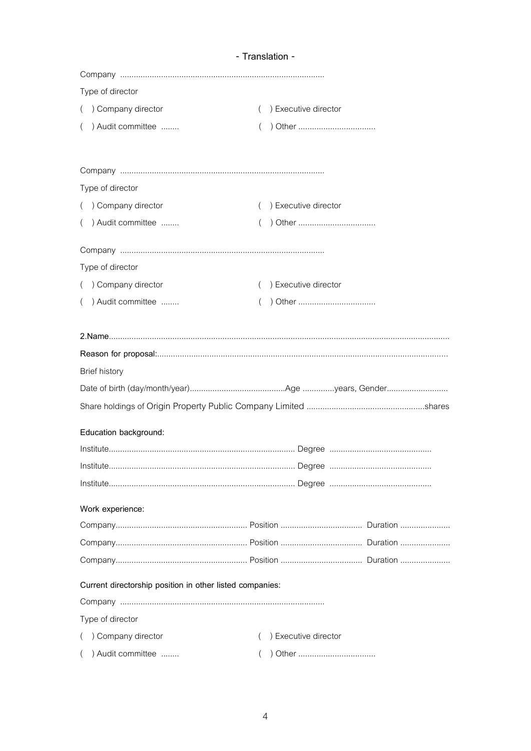| Type of director                                         |                                  |
|----------------------------------------------------------|----------------------------------|
| ( ) Company director                                     | ) Executive director             |
| () Audit committee                                       |                                  |
|                                                          |                                  |
| Type of director                                         |                                  |
| ( ) Company director                                     | ) Executive director<br>$\left($ |
| () Audit committee                                       |                                  |
|                                                          |                                  |
| Type of director                                         |                                  |
| ( ) Company director                                     | ) Executive director<br>$\left($ |
| () Audit committee                                       |                                  |
|                                                          |                                  |
|                                                          |                                  |
| <b>Brief history</b>                                     |                                  |
|                                                          |                                  |
|                                                          |                                  |
| Education background:                                    |                                  |
|                                                          |                                  |
| Institute                                                |                                  |
|                                                          |                                  |
| Work experience:                                         |                                  |
|                                                          |                                  |
|                                                          |                                  |
|                                                          |                                  |
| Current directorship position in other listed companies: |                                  |
|                                                          |                                  |
| Type of director                                         |                                  |
| () Company director                                      | ) Executive director<br>$\left($ |
| () Audit committee                                       |                                  |